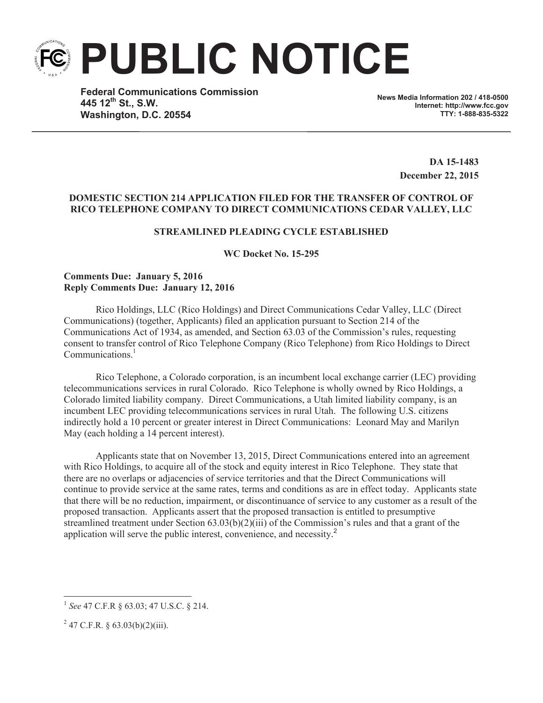**PUBLIC NOTICE**

**Federal Communications Commission 445 12th St., S.W. Washington, D.C. 20554**

**News Media Information 202 / 418-0500 Internet: http://www.fcc.gov TTY: 1-888-835-5322**

> **DA 15-1483 December 22, 2015**

## **DOMESTIC SECTION 214 APPLICATION FILED FOR THE TRANSFER OF CONTROL OF RICO TELEPHONE COMPANY TO DIRECT COMMUNICATIONS CEDAR VALLEY, LLC**

# **STREAMLINED PLEADING CYCLE ESTABLISHED**

**WC Docket No. 15-295**

## **Comments Due: January 5, 2016 Reply Comments Due: January 12, 2016**

Rico Holdings, LLC (Rico Holdings) and Direct Communications Cedar Valley, LLC (Direct Communications) (together, Applicants) filed an application pursuant to Section 214 of the Communications Act of 1934, as amended, and Section 63.03 of the Commission's rules, requesting consent to transfer control of Rico Telephone Company (Rico Telephone) from Rico Holdings to Direct Communications<sup>1</sup>

Rico Telephone, a Colorado corporation, is an incumbent local exchange carrier (LEC) providing telecommunications services in rural Colorado. Rico Telephone is wholly owned by Rico Holdings, a Colorado limited liability company. Direct Communications, a Utah limited liability company, is an incumbent LEC providing telecommunications services in rural Utah. The following U.S. citizens indirectly hold a 10 percent or greater interest in Direct Communications: Leonard May and Marilyn May (each holding a 14 percent interest).

Applicants state that on November 13, 2015, Direct Communications entered into an agreement with Rico Holdings, to acquire all of the stock and equity interest in Rico Telephone. They state that there are no overlaps or adjacencies of service territories and that the Direct Communications will continue to provide service at the same rates, terms and conditions as are in effect today. Applicants state that there will be no reduction, impairment, or discontinuance of service to any customer as a result of the proposed transaction. Applicants assert that the proposed transaction is entitled to presumptive streamlined treatment under Section 63.03(b)(2)(iii) of the Commission's rules and that a grant of the application will serve the public interest, convenience, and necessity.<sup>2</sup>

<sup>1</sup> *See* 47 C.F.R § 63.03; 47 U.S.C. § 214.

 $2^{2}$  47 C.F.R. § 63.03(b)(2)(iii).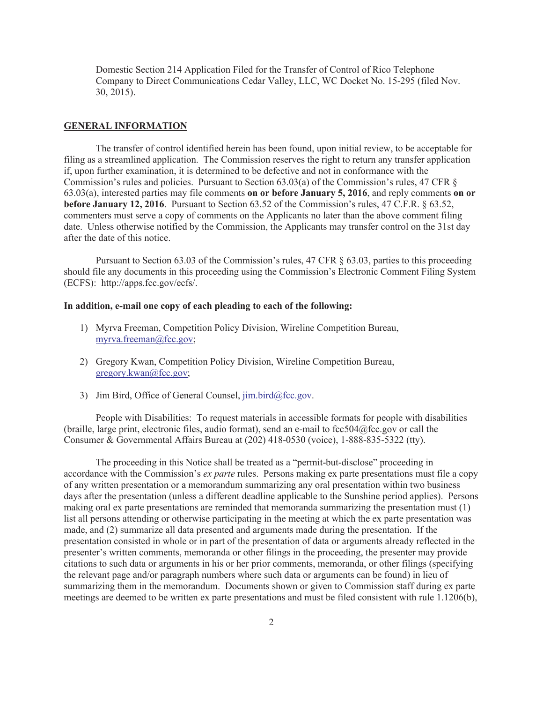Domestic Section 214 Application Filed for the Transfer of Control of Rico Telephone Company to Direct Communications Cedar Valley, LLC, WC Docket No. 15-295 (filed Nov. 30, 2015).

#### **GENERAL INFORMATION**

The transfer of control identified herein has been found, upon initial review, to be acceptable for filing as a streamlined application. The Commission reserves the right to return any transfer application if, upon further examination, it is determined to be defective and not in conformance with the Commission's rules and policies. Pursuant to Section 63.03(a) of the Commission's rules, 47 CFR § 63.03(a), interested parties may file comments **on or before January 5, 2016**, and reply comments **on or before January 12, 2016**. Pursuant to Section 63.52 of the Commission's rules, 47 C.F.R. § 63.52, commenters must serve a copy of comments on the Applicants no later than the above comment filing date. Unless otherwise notified by the Commission, the Applicants may transfer control on the 31st day after the date of this notice.

Pursuant to Section 63.03 of the Commission's rules, 47 CFR § 63.03, parties to this proceeding should file any documents in this proceeding using the Commission's Electronic Comment Filing System (ECFS): http://apps.fcc.gov/ecfs/.

#### **In addition, e-mail one copy of each pleading to each of the following:**

- 1) Myrva Freeman, Competition Policy Division, Wireline Competition Bureau, myrva.freeman@fcc.gov;
- 2) Gregory Kwan, Competition Policy Division, Wireline Competition Bureau, gregory.kwan@fcc.gov;
- 3) Jim Bird, Office of General Counsel,  $\lim_{h \to 0} \frac{\text{bird}(\partial \text{fcc.gov})}{\text{dot}(\partial \text{fcc.gov})}$ .

People with Disabilities: To request materials in accessible formats for people with disabilities (braille, large print, electronic files, audio format), send an e-mail to fcc504@fcc.gov or call the Consumer & Governmental Affairs Bureau at (202) 418-0530 (voice), 1-888-835-5322 (tty).

The proceeding in this Notice shall be treated as a "permit-but-disclose" proceeding in accordance with the Commission's *ex parte* rules. Persons making ex parte presentations must file a copy of any written presentation or a memorandum summarizing any oral presentation within two business days after the presentation (unless a different deadline applicable to the Sunshine period applies). Persons making oral ex parte presentations are reminded that memoranda summarizing the presentation must (1) list all persons attending or otherwise participating in the meeting at which the ex parte presentation was made, and (2) summarize all data presented and arguments made during the presentation. If the presentation consisted in whole or in part of the presentation of data or arguments already reflected in the presenter's written comments, memoranda or other filings in the proceeding, the presenter may provide citations to such data or arguments in his or her prior comments, memoranda, or other filings (specifying the relevant page and/or paragraph numbers where such data or arguments can be found) in lieu of summarizing them in the memorandum. Documents shown or given to Commission staff during ex parte meetings are deemed to be written ex parte presentations and must be filed consistent with rule 1.1206(b),